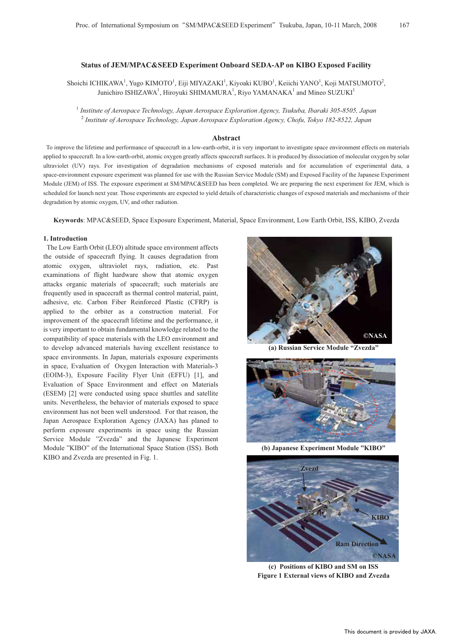# **Status of JEM/MPAC&SEED Experiment Onboard SEDA-AP on KIBO Exposed Facility**

Shoichi ICHIKAWA<sup>1</sup>, Yugo KIMOTO<sup>1</sup>, Eiji MIYAZAKI<sup>1</sup>, Kiyoaki KUBO<sup>1</sup>, Keiichi YANO<sup>1</sup>, Koji MATSUMOTO<sup>2</sup>, Junichiro ISHIZAWA<sup>1</sup>, Hiroyuki SHIMAMURA<sup>1</sup>, Riyo YAMANAKA<sup>1</sup> and Mineo SUZUKI<sup>1</sup>

1  *Institute of Aerospace Technology, Japan Aerospace Exploration Agency, Tsukuba, Ibaraki 305-8505, Japan*  2  *Institute of Aerospace Technology, Japan Aerospace Exploration Agency, Chofu, Tokyo 182-8522, Japan* 

### **Abstract**

To improve the lifetime and performance of spacecraft in a low-earth-orbit, it is very important to investigate space environment effects on materials applied to spacecraft. In a low-earth-orbit, atomic oxygen greatly affects spacecraft surfaces. It is produced by dissociation of molecular oxygen by solar ultraviolet (UV) rays. For investigation of degradation mechanisms of exposed materials and for accumulation of experimental data, a space-environment exposure experiment was planned for use with the Russian Service Module (SM) and Exposed Facility of the Japanese Experiment Module (JEM) of ISS. The exposure experiment at SM/MPAC&SEED has been completed. We are preparing the next experiment for JEM, which is scheduled for launch next year. Those experiments are expected to yield details of characteristic changes of exposed materials and mechanisms of their degradation by atomic oxygen, UV, and other radiation.

**Keywords**: MPAC&SEED, Space Exposure Experiment, Material, Space Environment, Low Earth Orbit, ISS, KIBO, Zvezda

### **1. Introduction**

The Low Earth Orbit (LEO) altitude space environment affects the outside of spacecraft flying. It causes degradation from atomic oxygen, ultraviolet rays, radiation, etc. Past examinations of flight hardware show that atomic oxygen attacks organic materials of spacecraft; such materials are frequently used in spacecraft as thermal control material, paint, adhesive, etc. Carbon Fiber Reinforced Plastic (CFRP) is applied to the orbiter as a construction material. For improvement of the spacecraft lifetime and the performance, it is very important to obtain fundamental knowledge related to the compatibility of space materials with the LEO environment and to develop advanced materials having excellent resistance to space environments. In Japan, materials exposure experiments in space, Evaluation of Oxygen Interaction with Materials-3 (EOIM-3), Exposure Facility Flyer Unit (EFFU) [1], and Evaluation of Space Environment and effect on Materials (ESEM) [2] were conducted using space shuttles and satellite units. Nevertheless, the behavior of materials exposed to space environment has not been well understood. For that reason, the Japan Aerospace Exploration Agency (JAXA) has planed to perform exposure experiments in space using the Russian Service Module "Zvezda" and the Japanese Experiment Module "KIBO" of the International Space Station (ISS). Both KIBO and Zvezda are presented in Fig. 1.



**(a) Russian Service Module "Zvezda"** 



**(b) Japanese Experiment Module "KIBO"** 



**(c) Positions of KIBO and SM on ISS Figure 1 External views of KIBO and Zvezda**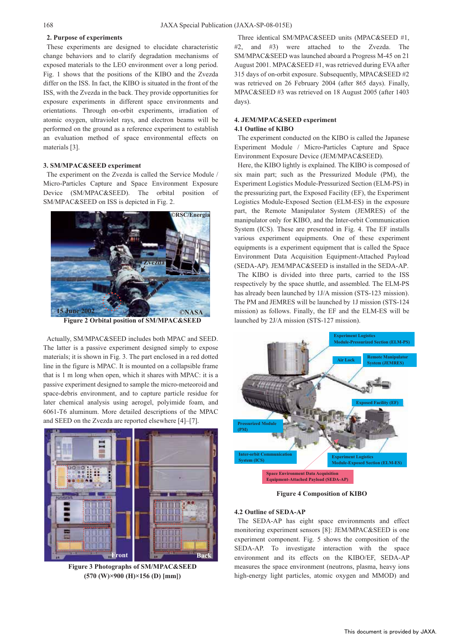### **2. Purpose of experiments**

These experiments are designed to elucidate characteristic change behaviors and to clarify degradation mechanisms of exposed materials to the LEO environment over a long period. Fig. 1 shows that the positions of the KIBO and the Zvezda differ on the ISS. In fact, the KIBO is situated in the front of the ISS, with the Zvezda in the back. They provide opportunities for exposure experiments in different space environments and orientations. Through on-orbit experiments, irradiation of atomic oxygen, ultraviolet rays, and electron beams will be performed on the ground as a reference experiment to establish an evaluation method of space environmental effects on materials [3].

# **3. SM/MPAC&SEED experiment**

The experiment on the Zvezda is called the Service Module / Micro-Particles Capture and Space Environment Exposure Device (SM/MPAC&SEED). The orbital position of SM/MPAC&SEED on ISS is depicted in Fig. 2.



**Figure 2 Orbital position of SM/MPAC&SEED** 

Actually, SM/MPAC&SEED includes both MPAC and SEED. The latter is a passive experiment designed simply to expose materials; it is shown in Fig. 3. The part enclosed in a red dotted line in the figure is MPAC. It is mounted on a collapsible frame that is 1 m long when open, which it shares with MPAC: it is a passive experiment designed to sample the micro-meteoroid and space-debris environment, and to capture particle residue for later chemical analysis using aerogel, polyimide foam, and 6061-T6 aluminum. More detailed descriptions of the MPAC and SEED on the Zvezda are reported elsewhere [4]–[7].



**Figure 3 Photographs of SM/MPAC&SEED (570 (W)×900 (H)×156 (D) [mm])** 

Three identical SM/MPAC&SEED units (MPAC&SEED #1, #2, and #3) were attached to the Zvezda. The SM/MPAC&SEED was launched aboard a Progress M-45 on 21 August 2001. MPAC&SEED #1, was retrieved during EVA after 315 days of on-orbit exposure. Subsequently, MPAC&SEED #2 was retrieved on 26 February 2004 (after 865 days). Finally, MPAC&SEED #3 was retrieved on 18 August 2005 (after 1403 days).

# **4. JEM/MPAC&SEED experiment**

# **4.1 Outline of KIBO**

The experiment conducted on the KIBO is called the Japanese Experiment Module / Micro-Particles Capture and Space Environment Exposure Device (JEM/MPAC&SEED).

Here, the KIBO lightly is explained. The KIBO is composed of six main part; such as the Pressurized Module (PM), the Experiment Logistics Module-Pressurized Section (ELM-PS) in the pressurizing part, the Exposed Facility (EF), the Experiment Logistics Module-Exposed Section (ELM-ES) in the exposure part, the Remote Manipulator System (JEMRES) of the manipulator only for KIBO, and the Inter-orbit Communication System (ICS). These are presented in Fig. 4. The EF installs various experiment equipments. One of these experiment equipments is a experiment equipment that is called the Space Environment Data Acquisition Equipment-Attached Payload (SEDA-AP). JEM/MPAC&SEED is installed in the SEDA-AP.

The KIBO is divided into three parts, carried to the ISS respectively by the space shuttle, and assembled. The ELM-PS has already been launched by 1J/A mission (STS-123 mission). The PM and JEMRES will be launched by 1J mission (STS-124 mission) as follows. Finally, the EF and the ELM-ES will be launched by 2J/A mission (STS-127 mission).



**Figure 4 Composition of KIBO** 

### **4.2 Outline of SEDA-AP**

The SEDA-AP has eight space environments and effect monitoring experiment sensors [8]: JEM/MPAC&SEED is one experiment component. Fig. 5 shows the composition of the SEDA-AP. To investigate interaction with the space environment and its effects on the KIBO/EF, SEDA-AP measures the space environment (neutrons, plasma, heavy ions high-energy light particles, atomic oxygen and MMOD) and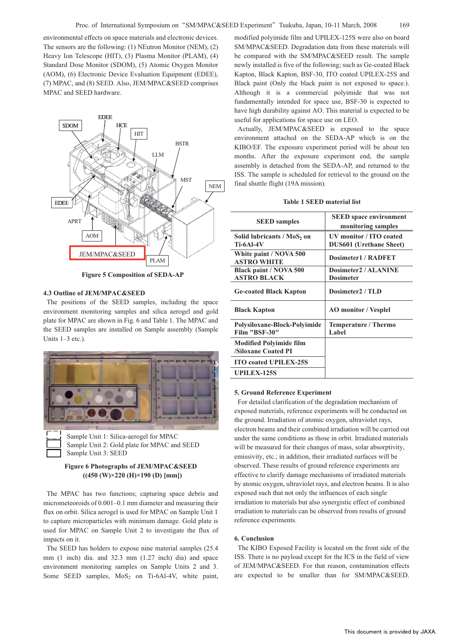environmental effects on space materials and electronic devices. The sensors are the following: (1) NEutron Monitor (NEM), (2) Heavy Ion Telescope (HIT), (3) Plasma Monitor (PLAM), (4) Standard Dose Monitor (SDOM), (5) Atomic Oxygen Monitor (AOM), (6) Electronic Device Evaluation Equipment (EDEE), (7) MPAC, and (8) SEED. Also, JEM/MPAC&SEED comprises MPAC and SEED hardware.



**Figure 5 Composition of SEDA-AP** 

#### **4.3 Outline of JEM/MPAC&SEED**

The positions of the SEED samples, including the space environment monitoring samples and silica aerogel and gold plate for MPAC are shown in Fig. 6 and Table 1. The MPAC and the SEED samples are installed on Sample assembly (Sample Units 1–3 etc.).



Sample Unit 2: Gold plate for MPAC and SEED Sample Unit 3: SEED

# **Figure 6 Photographs of JEM/MPAC&SEED ((450 (W)×220 (H)×190 (D) [mm])**

The MPAC has two functions; capturing space debris and micrometeoroids of 0.001–0.1 mm diameter and measuring their flux on orbit. Silica aerogel is used for MPAC on Sample Unit 1 to capture microparticles with minimum damage. Gold plate is used for MPAC on Sample Unit 2 to investigate the flux of impacts on it.

The SEED has holders to expose nine material samples (25.4 mm (1 inch) dia. and 32.3 mm (1.27 inch) dia) and space environment monitoring samples on Sample Units 2 and 3. Some SEED samples,  $MoS<sub>2</sub>$  on Ti-6Al-4V, white paint, modified polyimide film and UPILEX-125S were also on board SM/MPAC&SEED. Degradation data from these materials will be compared with the SM/MPAC&SEED result. The sample newly installed is five of the following; such as Ge-coated Black Kapton, Black Kapton, BSF-30, ITO coated UPILEX-25S and Black paint (Only the black paint is not exposed to space.). Although it is a commercial polyimide that was not fundamentally intended for space use, BSF-30 is expected to have high durability against AO. This material is expected to be useful for applications for space use on LEO.

Actually, JEM/MPAC&SEED is exposed to the space environment attached on the SEDA-AP which is on the KIBO/EF. The exposure experiment period will be about ten months. After the exposure experiment end, the sample assembly is detached from the SEDA-AP, and returned to the ISS. The sample is scheduled for retrieval to the ground on the final shuttle flight (19A mission).

#### **Table 1 SEED material list**

| <b>SEED</b> samples                                          | <b>SEED</b> space environment<br>monitoring samples       |
|--------------------------------------------------------------|-----------------------------------------------------------|
| Solid lubricants / MoS <sub>2</sub> on<br>$Ti-6Al-4V$        | UV monitor / ITO coated<br><b>DUS601 (Urethane Sheet)</b> |
| White paint / NOVA 500<br><b>ASTRO WHITE</b>                 | <b>Dosimeter1 / RADFET</b>                                |
| Black paint / NOVA 500                                       | Dosimeter2 / ALANINE                                      |
| <b>ASTRO BLACK</b>                                           | <b>Dosimeter</b>                                          |
| <b>Ge-coated Black Kapton</b>                                | Dosimeter2 / TLD                                          |
| <b>Black Kapton</b>                                          | <b>AO</b> monitor / Vesplel                               |
| Polysiloxane-Block-Polyimide<br>Film "BSF-30"                | Temperature / Thermo<br>Label                             |
| <b>Modified Polyimide film</b><br><b>/Siloxane Coated PI</b> |                                                           |
| <b>ITO coated UPILEX-25S</b>                                 |                                                           |
| <b>UPILEX-125S</b>                                           |                                                           |

### **5. Ground Reference Experiment**

For detailed clarification of the degradation mechanism of exposed materials, reference experiments will be conducted on the ground. Irradiation of atomic oxygen, ultraviolet rays, electron beams and their combined irradiation will be carried out under the same conditions as those in orbit. Irradiated materials will be measured for their changes of mass, solar absorptivity, emissivity, etc.; in addition, their irradiated surfaces will be observed. These results of ground reference experiments are effective to clarify damage mechanisms of irradiated materials by atomic oxygen, ultraviolet rays, and electron beams. It is also exposed such that not only the influences of each single irradiation to materials but also synergistic effect of combined irradiation to materials can be observed from results of ground reference experiments.

#### **6. Conclusion**

The KIBO Exposed Facility is located on the front side of the ISS. There is no payload except for the ICS in the field of view of JEM/MPAC&SEED. For that reason, contamination effects are expected to be smaller than for SM/MPAC&SEED.